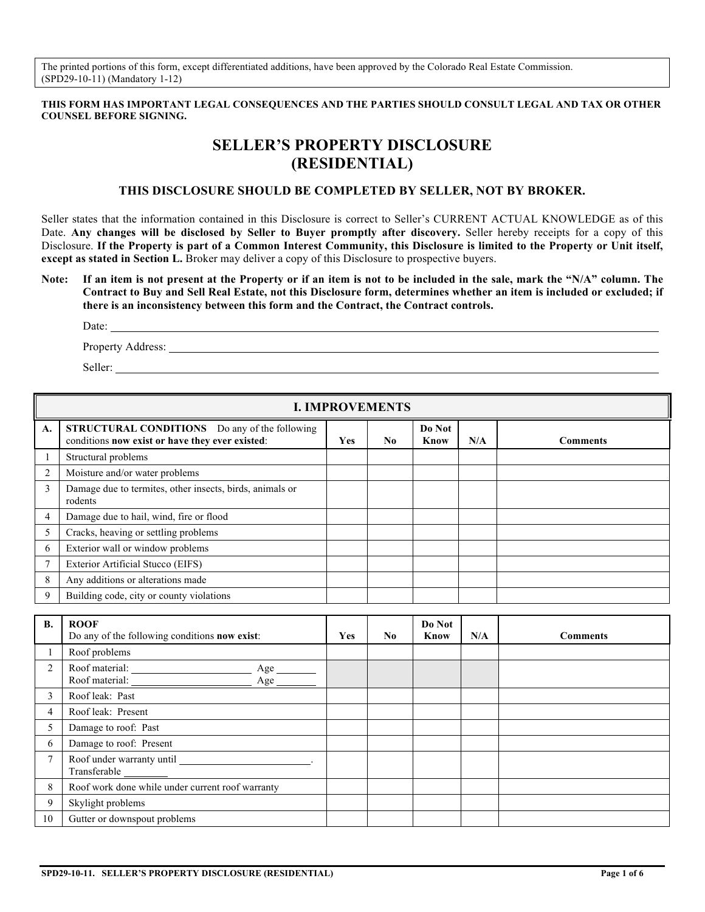The printed portions of this form, except differentiated additions, have been approved by the Colorado Real Estate Commission. (SPD29-10-11) (Mandatory 1-12)

#### **THIS FORM HAS IMPORTANT LEGAL CONSEQUENCES AND THE PARTIES SHOULD CONSULT LEGAL AND TAX OR OTHER COUNSEL BEFORE SIGNING.**

# **SELLER'S PROPERTY DISCLOSURE (RESIDENTIAL)**

## **THIS DISCLOSURE SHOULD BE COMPLETED BY SELLER, NOT BY BROKER.**

Seller states that the information contained in this Disclosure is correct to Seller's CURRENT ACTUAL KNOWLEDGE as of this Date. **Any changes will be disclosed by Seller to Buyer promptly after discovery.** Seller hereby receipts for a copy of this Disclosure. **If the Property is part of a Common Interest Community, this Disclosure is limited to the Property or Unit itself, except as stated in Section L.** Broker may deliver a copy of this Disclosure to prospective buyers.

**Note: If an item is not present at the Property or if an item is not to be included in the sale, mark the "N/A" column. The Contract to Buy and Sell Real Estate, not this Disclosure form, determines whether an item is included or excluded; if there is an inconsistency between this form and the Contract, the Contract controls.**

Date:

Property Address:

Seller:

|                | <b>I. IMPROVEMENTS</b>                                                                                  |     |    |                       |     |                 |  |  |  |
|----------------|---------------------------------------------------------------------------------------------------------|-----|----|-----------------------|-----|-----------------|--|--|--|
| A.             | <b>STRUCTURAL CONDITIONS</b> Do any of the following<br>conditions now exist or have they ever existed: | Yes | No | Do Not<br><b>Know</b> | N/A | <b>Comments</b> |  |  |  |
|                | Structural problems                                                                                     |     |    |                       |     |                 |  |  |  |
| $\overline{2}$ | Moisture and/or water problems                                                                          |     |    |                       |     |                 |  |  |  |
| 3              | Damage due to termites, other insects, birds, animals or<br>rodents                                     |     |    |                       |     |                 |  |  |  |
| $\overline{4}$ | Damage due to hail, wind, fire or flood                                                                 |     |    |                       |     |                 |  |  |  |
|                | Cracks, heaving or settling problems                                                                    |     |    |                       |     |                 |  |  |  |
| 6              | Exterior wall or window problems                                                                        |     |    |                       |     |                 |  |  |  |
|                | Exterior Artificial Stucco (EIFS)                                                                       |     |    |                       |     |                 |  |  |  |
| 8              | Any additions or alterations made                                                                       |     |    |                       |     |                 |  |  |  |
| -9             | Building code, city or county violations                                                                |     |    |                       |     |                 |  |  |  |

| <b>B.</b>      | <b>ROOF</b><br>Do any of the following conditions now exist: | <b>Yes</b> | No. | Do Not<br>Know | N/A | <b>Comments</b> |
|----------------|--------------------------------------------------------------|------------|-----|----------------|-----|-----------------|
|                | Roof problems                                                |            |     |                |     |                 |
| $\overline{2}$ | Roof material:<br>Age $\_\_$                                 |            |     |                |     |                 |
| $\mathcal{F}$  | Roof leak: Past                                              |            |     |                |     |                 |
| 4              | Roof leak: Present                                           |            |     |                |     |                 |
| 5              | Damage to roof: Past                                         |            |     |                |     |                 |
| 6              | Damage to roof: Present                                      |            |     |                |     |                 |
| 7              | Transferable                                                 |            |     |                |     |                 |
| 8              | Roof work done while under current roof warranty             |            |     |                |     |                 |
| 9              | Skylight problems                                            |            |     |                |     |                 |
| 10             | Gutter or downspout problems                                 |            |     |                |     |                 |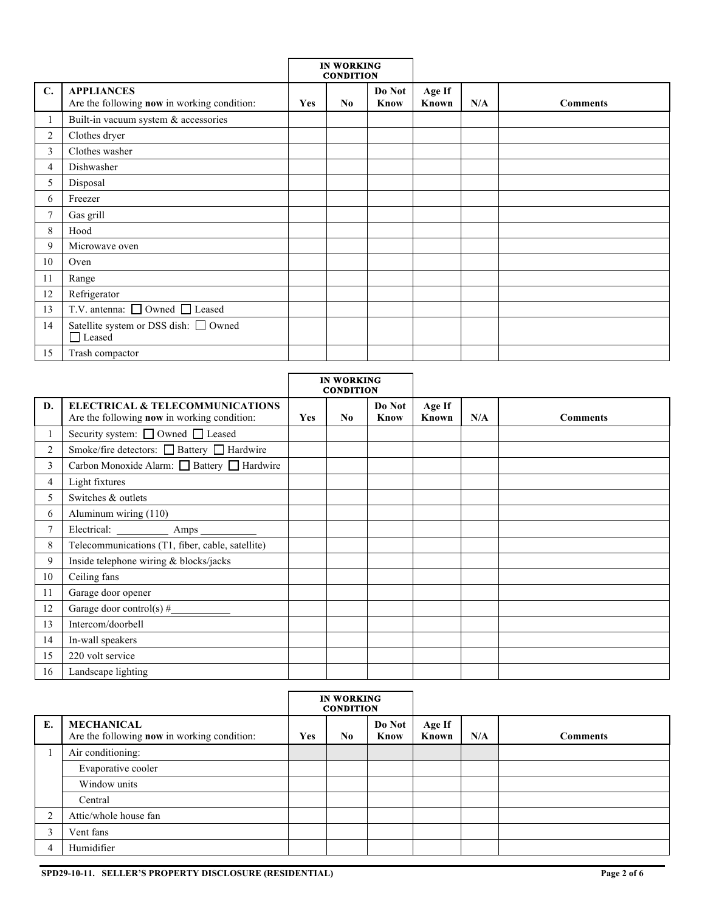|                |                                                                  | <b>IN WORKING</b><br><b>CONDITION</b> |                |                |                 |     |                 |
|----------------|------------------------------------------------------------------|---------------------------------------|----------------|----------------|-----------------|-----|-----------------|
| C.             | <b>APPLIANCES</b><br>Are the following now in working condition: | Yes                                   | N <sub>0</sub> | Do Not<br>Know | Age If<br>Known | N/A | <b>Comments</b> |
|                | Built-in vacuum system & accessories                             |                                       |                |                |                 |     |                 |
| $\overline{c}$ | Clothes dryer                                                    |                                       |                |                |                 |     |                 |
| 3              | Clothes washer                                                   |                                       |                |                |                 |     |                 |
| 4              | Dishwasher                                                       |                                       |                |                |                 |     |                 |
| 5              | Disposal                                                         |                                       |                |                |                 |     |                 |
| 6              | Freezer                                                          |                                       |                |                |                 |     |                 |
| $\tau$         | Gas grill                                                        |                                       |                |                |                 |     |                 |
| 8              | Hood                                                             |                                       |                |                |                 |     |                 |
| 9              | Microwave oven                                                   |                                       |                |                |                 |     |                 |
| 10             | Oven                                                             |                                       |                |                |                 |     |                 |
| 11             | Range                                                            |                                       |                |                |                 |     |                 |
| 12             | Refrigerator                                                     |                                       |                |                |                 |     |                 |
| 13             | T.V. antenna: □ Owned □ Leased                                   |                                       |                |                |                 |     |                 |
| 14             | Satellite system or DSS dish: □ Owned<br>$\Box$ Leased           |                                       |                |                |                 |     |                 |
| 15             | Trash compactor                                                  |                                       |                |                |                 |     |                 |

|                |                                                                                                  | <b>IN WORKING</b><br><b>CONDITION</b> |          |                |                 |     |                 |
|----------------|--------------------------------------------------------------------------------------------------|---------------------------------------|----------|----------------|-----------------|-----|-----------------|
| D.             | <b>ELECTRICAL &amp; TELECOMMUNICATIONS</b><br>Are the following <b>now</b> in working condition: | Yes                                   | $\bf No$ | Do Not<br>Know | Age If<br>Known | N/A | <b>Comments</b> |
|                | Security system: □ Owned □ Leased                                                                |                                       |          |                |                 |     |                 |
| $\overline{2}$ | Smoke/fire detectors: □ Battery □ Hardwire                                                       |                                       |          |                |                 |     |                 |
| 3              | Carbon Monoxide Alarm: □ Battery □ Hardwire                                                      |                                       |          |                |                 |     |                 |
| 4              | Light fixtures                                                                                   |                                       |          |                |                 |     |                 |
| 5              | Switches & outlets                                                                               |                                       |          |                |                 |     |                 |
| 6              | Aluminum wiring (110)                                                                            |                                       |          |                |                 |     |                 |
| $\overline{7}$ | Electrical:<br>Amps                                                                              |                                       |          |                |                 |     |                 |
| 8              | Telecommunications (T1, fiber, cable, satellite)                                                 |                                       |          |                |                 |     |                 |
| 9              | Inside telephone wiring & blocks/jacks                                                           |                                       |          |                |                 |     |                 |
| 10             | Ceiling fans                                                                                     |                                       |          |                |                 |     |                 |
| 11             | Garage door opener                                                                               |                                       |          |                |                 |     |                 |
| 12             | Garage door control(s) $#$                                                                       |                                       |          |                |                 |     |                 |
| 13             | Intercom/doorbell                                                                                |                                       |          |                |                 |     |                 |
| 14             | In-wall speakers                                                                                 |                                       |          |                |                 |     |                 |
| 15             | 220 volt service                                                                                 |                                       |          |                |                 |     |                 |
| 16             | Landscape lighting                                                                               |                                       |          |                |                 |     |                 |

|                |                                                                         | <b>IN WORKING</b><br><b>CONDITION</b> |          |                |                 |     |                 |
|----------------|-------------------------------------------------------------------------|---------------------------------------|----------|----------------|-----------------|-----|-----------------|
| Е.             | <b>MECHANICAL</b><br>Are the following <b>now</b> in working condition: | Yes                                   | $\bf No$ | Do Not<br>Know | Age If<br>Known | N/A | <b>Comments</b> |
|                | Air conditioning:                                                       |                                       |          |                |                 |     |                 |
|                | Evaporative cooler                                                      |                                       |          |                |                 |     |                 |
|                | Window units                                                            |                                       |          |                |                 |     |                 |
|                | Central                                                                 |                                       |          |                |                 |     |                 |
| $\overline{2}$ | Attic/whole house fan                                                   |                                       |          |                |                 |     |                 |
| $\mathbf{R}$   | Vent fans                                                               |                                       |          |                |                 |     |                 |
| 4              | Humidifier                                                              |                                       |          |                |                 |     |                 |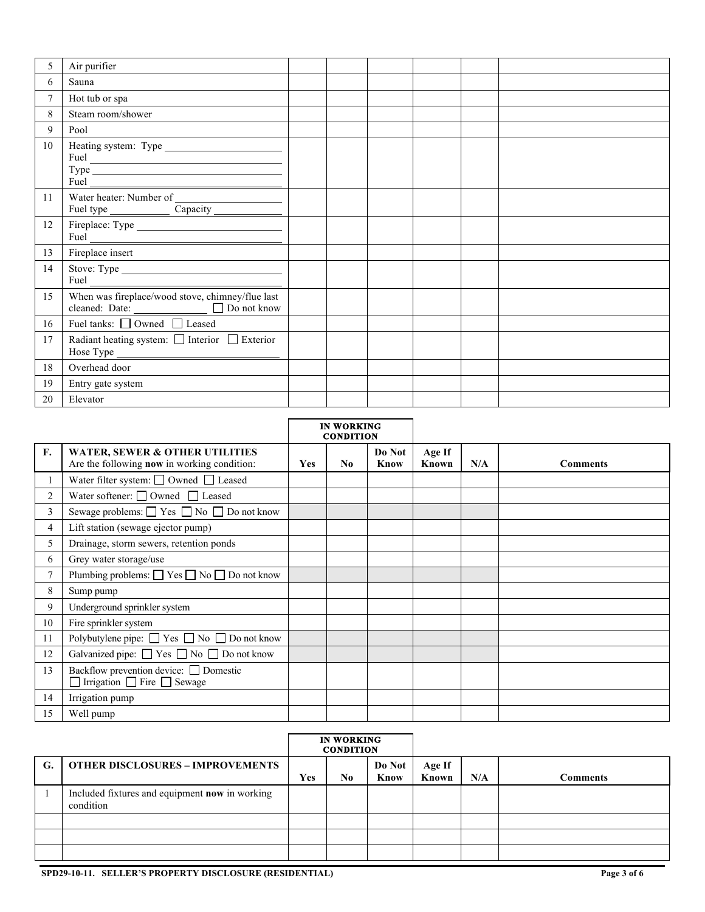| 5  | Air purifier                                                                                     |  |  |  |
|----|--------------------------------------------------------------------------------------------------|--|--|--|
| 6  | Sauna                                                                                            |  |  |  |
| 7  | Hot tub or spa                                                                                   |  |  |  |
| 8  | Steam room/shower                                                                                |  |  |  |
| 9  | Pool                                                                                             |  |  |  |
| 10 |                                                                                                  |  |  |  |
| 11 | Fuel type <u>Capacity</u>                                                                        |  |  |  |
| 12 | $Full \_$                                                                                        |  |  |  |
| 13 | Fireplace insert                                                                                 |  |  |  |
| 14 |                                                                                                  |  |  |  |
| 15 | When was fireplace/wood stove, chimney/flue last<br>cleaned: Date: <u>Department</u> Do not know |  |  |  |
| 16 | Fuel tanks: Owned Leased                                                                         |  |  |  |
| 17 | Radiant heating system: $\Box$ Interior $\Box$ Exterior                                          |  |  |  |
| 18 | Overhead door                                                                                    |  |  |  |
| 19 | Entry gate system                                                                                |  |  |  |
| 20 | Elevator                                                                                         |  |  |  |

|                |                                                                                            | <b>IN WORKING</b><br><b>CONDITION</b> |                |                |                 |     |                 |
|----------------|--------------------------------------------------------------------------------------------|---------------------------------------|----------------|----------------|-----------------|-----|-----------------|
| F.             | <b>WATER, SEWER &amp; OTHER UTILITIES</b><br>Are the following now in working condition:   | Yes                                   | N <sub>0</sub> | Do Not<br>Know | Age If<br>Known | N/A | <b>Comments</b> |
|                | Water filter system: $\Box$ Owned $\Box$ Leased                                            |                                       |                |                |                 |     |                 |
| $\overline{c}$ | Water softener: $\Box$ Owned $\Box$ Leased                                                 |                                       |                |                |                 |     |                 |
| 3              | Sewage problems: $\Box$ Yes $\Box$ No $\Box$ Do not know                                   |                                       |                |                |                 |     |                 |
| 4              | Lift station (sewage ejector pump)                                                         |                                       |                |                |                 |     |                 |
| 5              | Drainage, storm sewers, retention ponds                                                    |                                       |                |                |                 |     |                 |
| 6              | Grey water storage/use                                                                     |                                       |                |                |                 |     |                 |
| 7              | Plumbing problems: $\Box$ Yes $\Box$ No $\Box$ Do not know                                 |                                       |                |                |                 |     |                 |
| 8              | Sump pump                                                                                  |                                       |                |                |                 |     |                 |
| 9              | Underground sprinkler system                                                               |                                       |                |                |                 |     |                 |
| 10             | Fire sprinkler system                                                                      |                                       |                |                |                 |     |                 |
| 11             | Polybutylene pipe: $\Box$ Yes $\Box$ No $\Box$ Do not know                                 |                                       |                |                |                 |     |                 |
| 12             | Galvanized pipe: $\Box$ Yes $\Box$ No $\Box$ Do not know                                   |                                       |                |                |                 |     |                 |
| 13             | Backflow prevention device: <u>Domestic</u><br>$\Box$ Irrigation $\Box$ Fire $\Box$ Sewage |                                       |                |                |                 |     |                 |
| 14             | Irrigation pump                                                                            |                                       |                |                |                 |     |                 |
| 15             | Well pump                                                                                  |                                       |                |                |                 |     |                 |

|    |                                                             | <b>IN WORKING</b><br><b>CONDITION</b> |     |                |                 |     |                 |
|----|-------------------------------------------------------------|---------------------------------------|-----|----------------|-----------------|-----|-----------------|
| G. | <b>OTHER DISCLOSURES - IMPROVEMENTS</b>                     | Yes                                   | No. | Do Not<br>Know | Age If<br>Known | N/A | <b>Comments</b> |
|    | Included fixtures and equipment now in working<br>condition |                                       |     |                |                 |     |                 |
|    |                                                             |                                       |     |                |                 |     |                 |
|    |                                                             |                                       |     |                |                 |     |                 |
|    |                                                             |                                       |     |                |                 |     |                 |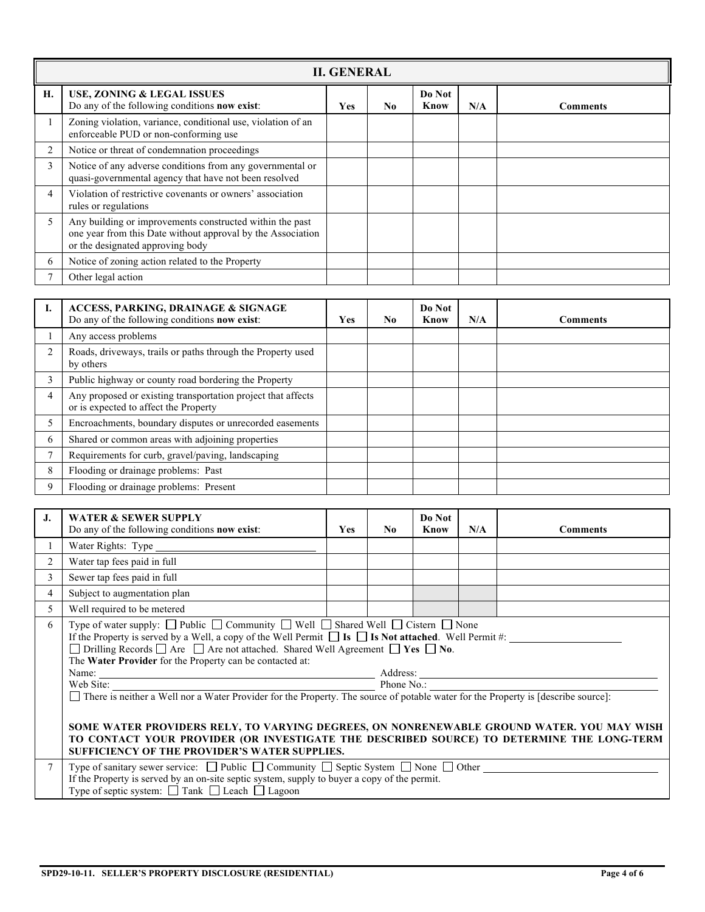|                | <b>II. GENERAL</b>                                                                                                                                          |     |    |                |     |                 |  |  |  |  |
|----------------|-------------------------------------------------------------------------------------------------------------------------------------------------------------|-----|----|----------------|-----|-----------------|--|--|--|--|
| Н.             | <b>USE, ZONING &amp; LEGAL ISSUES</b><br>Do any of the following conditions now exist:                                                                      | Yes | No | Do Not<br>Know | N/A | <b>Comments</b> |  |  |  |  |
| $\mathbf{1}$   | Zoning violation, variance, conditional use, violation of an<br>enforceable PUD or non-conforming use                                                       |     |    |                |     |                 |  |  |  |  |
| 2              | Notice or threat of condemnation proceedings                                                                                                                |     |    |                |     |                 |  |  |  |  |
| 3              | Notice of any adverse conditions from any governmental or<br>quasi-governmental agency that have not been resolved                                          |     |    |                |     |                 |  |  |  |  |
| $\overline{4}$ | Violation of restrictive covenants or owners' association<br>rules or regulations                                                                           |     |    |                |     |                 |  |  |  |  |
| 5              | Any building or improvements constructed within the past<br>one year from this Date without approval by the Association<br>or the designated approving body |     |    |                |     |                 |  |  |  |  |
| 6              | Notice of zoning action related to the Property                                                                                                             |     |    |                |     |                 |  |  |  |  |
|                | Other legal action                                                                                                                                          |     |    |                |     |                 |  |  |  |  |

|             | <b>ACCESS, PARKING, DRAINAGE &amp; SIGNAGE</b><br>Do any of the following conditions now exist:       | <b>Yes</b> | No. | Do Not<br>Know | N/A | <b>Comments</b> |
|-------------|-------------------------------------------------------------------------------------------------------|------------|-----|----------------|-----|-----------------|
|             | Any access problems                                                                                   |            |     |                |     |                 |
| 2           | Roads, driveways, trails or paths through the Property used<br>by others                              |            |     |                |     |                 |
| 3           | Public highway or county road bordering the Property                                                  |            |     |                |     |                 |
|             | Any proposed or existing transportation project that affects<br>or is expected to affect the Property |            |     |                |     |                 |
|             | Encroachments, boundary disputes or unrecorded easements                                              |            |     |                |     |                 |
| 6           | Shared or common areas with adjoining properties                                                      |            |     |                |     |                 |
|             | Requirements for curb, gravel/paving, landscaping                                                     |            |     |                |     |                 |
| 8           | Flooding or drainage problems: Past                                                                   |            |     |                |     |                 |
| $\mathbf Q$ | Flooding or drainage problems: Present                                                                |            |     |                |     |                 |

| J.             | <b>WATER &amp; SEWER SUPPLY</b><br>Do any of the following conditions now exist:                                                                                                                                                                                                                                                                                                                                                                                                                                                                                                                                                                                                                                                                                                                                                                                                             | <b>Yes</b> | N <sub>0</sub> | Do Not<br>Know | N/A | <b>Comments</b> |  |  |  |
|----------------|----------------------------------------------------------------------------------------------------------------------------------------------------------------------------------------------------------------------------------------------------------------------------------------------------------------------------------------------------------------------------------------------------------------------------------------------------------------------------------------------------------------------------------------------------------------------------------------------------------------------------------------------------------------------------------------------------------------------------------------------------------------------------------------------------------------------------------------------------------------------------------------------|------------|----------------|----------------|-----|-----------------|--|--|--|
|                |                                                                                                                                                                                                                                                                                                                                                                                                                                                                                                                                                                                                                                                                                                                                                                                                                                                                                              |            |                |                |     |                 |  |  |  |
| $\overline{2}$ | Water tap fees paid in full                                                                                                                                                                                                                                                                                                                                                                                                                                                                                                                                                                                                                                                                                                                                                                                                                                                                  |            |                |                |     |                 |  |  |  |
| $\overline{3}$ | Sewer tap fees paid in full                                                                                                                                                                                                                                                                                                                                                                                                                                                                                                                                                                                                                                                                                                                                                                                                                                                                  |            |                |                |     |                 |  |  |  |
| $\overline{4}$ | Subject to augmentation plan                                                                                                                                                                                                                                                                                                                                                                                                                                                                                                                                                                                                                                                                                                                                                                                                                                                                 |            |                |                |     |                 |  |  |  |
| 5              | Well required to be metered                                                                                                                                                                                                                                                                                                                                                                                                                                                                                                                                                                                                                                                                                                                                                                                                                                                                  |            |                |                |     |                 |  |  |  |
| 6              | Type of water supply: $\Box$ Public $\Box$ Community $\Box$ Well $\Box$ Shared Well $\Box$ Cistern $\Box$ None<br>If the Property is served by a Well, a copy of the Well Permit $\Box$ Is $\Box$ Is Not attached. Well Permit #:<br>$\Box$ Drilling Records $\Box$ Are $\Box$ Are not attached. Shared Well Agreement $\Box$ Yes $\Box$ No.<br>The Water Provider for the Property can be contacted at:<br>Name:<br>Web Site:<br>Meb Site: Phone No.:<br>Phone No.:<br>Phone No.:<br>Phone No.:<br>Phone No.:<br>Phone No.:<br>Phone No.:<br>Phone No.:<br>Phone No.:<br>Phone No.:<br>Phone No.:<br>Phone No.:<br>Phone No.:<br>Phone No.:<br>Phone No.:<br>There is neither a Well nor a Water Provider for the Property. The source of potable water for the Property is [describe source]:<br>SOME WATER PROVIDERS RELY, TO VARYING DEGREES, ON NONRENEWABLE GROUND WATER. YOU MAY WISH |            |                |                |     |                 |  |  |  |
|                | TO CONTACT YOUR PROVIDER (OR INVESTIGATE THE DESCRIBED SOURCE) TO DETERMINE THE LONG-TERM<br>SUFFICIENCY OF THE PROVIDER'S WATER SUPPLIES.                                                                                                                                                                                                                                                                                                                                                                                                                                                                                                                                                                                                                                                                                                                                                   |            |                |                |     |                 |  |  |  |
| $\tau$         | Type of sanitary sewer service: $\Box$ Public $\Box$ Community $\Box$ Septic System $\Box$ None $\Box$ Other<br>If the Property is served by an on-site septic system, supply to buyer a copy of the permit.<br>Type of septic system: $\Box$ Tank $\Box$ Leach $\Box$ Lagoon                                                                                                                                                                                                                                                                                                                                                                                                                                                                                                                                                                                                                |            |                |                |     |                 |  |  |  |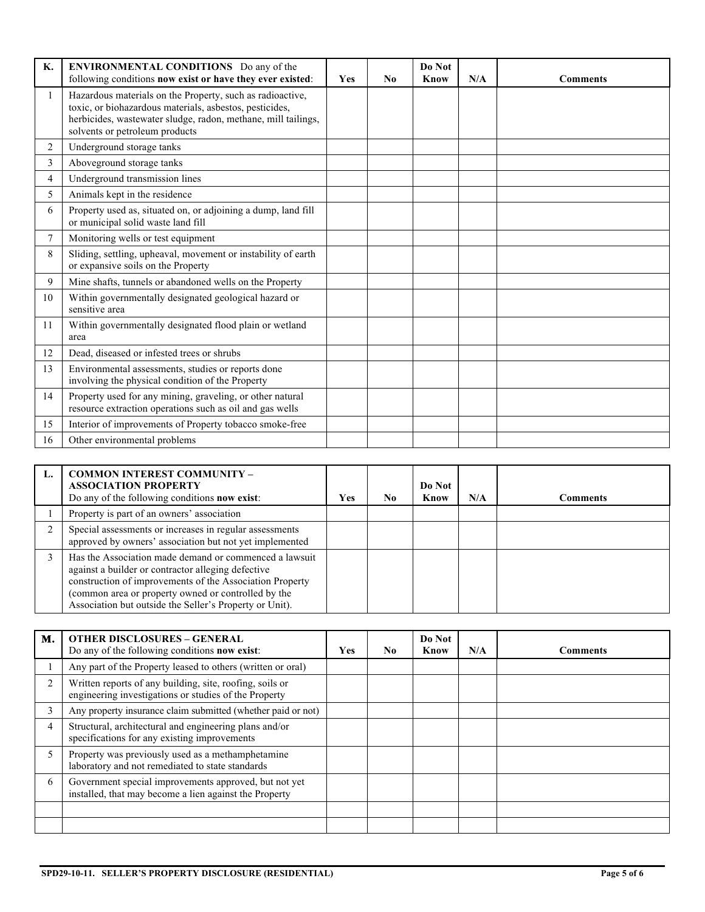| Κ.             | ENVIRONMENTAL CONDITIONS Do any of the<br>following conditions now exist or have they ever existed:                                                                                                                     | Yes | No | Do Not<br><b>Know</b> | N/A | <b>Comments</b> |
|----------------|-------------------------------------------------------------------------------------------------------------------------------------------------------------------------------------------------------------------------|-----|----|-----------------------|-----|-----------------|
| $\mathbf{1}$   | Hazardous materials on the Property, such as radioactive,<br>toxic, or biohazardous materials, asbestos, pesticides,<br>herbicides, wastewater sludge, radon, methane, mill tailings,<br>solvents or petroleum products |     |    |                       |     |                 |
| $\overline{2}$ | Underground storage tanks                                                                                                                                                                                               |     |    |                       |     |                 |
| 3              | Aboveground storage tanks                                                                                                                                                                                               |     |    |                       |     |                 |
| 4              | Underground transmission lines                                                                                                                                                                                          |     |    |                       |     |                 |
| 5              | Animals kept in the residence                                                                                                                                                                                           |     |    |                       |     |                 |
| 6              | Property used as, situated on, or adjoining a dump, land fill<br>or municipal solid waste land fill                                                                                                                     |     |    |                       |     |                 |
| 7              | Monitoring wells or test equipment                                                                                                                                                                                      |     |    |                       |     |                 |
| 8              | Sliding, settling, upheaval, movement or instability of earth<br>or expansive soils on the Property                                                                                                                     |     |    |                       |     |                 |
| 9              | Mine shafts, tunnels or abandoned wells on the Property                                                                                                                                                                 |     |    |                       |     |                 |
| 10             | Within governmentally designated geological hazard or<br>sensitive area                                                                                                                                                 |     |    |                       |     |                 |
| 11             | Within governmentally designated flood plain or wetland<br>area                                                                                                                                                         |     |    |                       |     |                 |
| 12             | Dead, diseased or infested trees or shrubs                                                                                                                                                                              |     |    |                       |     |                 |
| 13             | Environmental assessments, studies or reports done<br>involving the physical condition of the Property                                                                                                                  |     |    |                       |     |                 |
| 14             | Property used for any mining, graveling, or other natural<br>resource extraction operations such as oil and gas wells                                                                                                   |     |    |                       |     |                 |
| 15             | Interior of improvements of Property tobacco smoke-free                                                                                                                                                                 |     |    |                       |     |                 |
| 16             | Other environmental problems                                                                                                                                                                                            |     |    |                       |     |                 |

|   | <b>COMMON INTEREST COMMUNITY -</b><br><b>ASSOCIATION PROPERTY</b><br>Do any of the following conditions now exist:                                                                                                                                                                         | Yes | No. | Do Not<br>Know | N/A | <b>Comments</b> |
|---|--------------------------------------------------------------------------------------------------------------------------------------------------------------------------------------------------------------------------------------------------------------------------------------------|-----|-----|----------------|-----|-----------------|
|   | Property is part of an owners' association                                                                                                                                                                                                                                                 |     |     |                |     |                 |
| ◠ | Special assessments or increases in regular assessments<br>approved by owners' association but not yet implemented                                                                                                                                                                         |     |     |                |     |                 |
|   | Has the Association made demand or commenced a lawsuit<br>against a builder or contractor alleging defective<br>construction of improvements of the Association Property<br>(common area or property owned or controlled by the<br>Association but outside the Seller's Property or Unit). |     |     |                |     |                 |

| м.             | <b>OTHER DISCLOSURES - GENERAL</b><br>Do any of the following conditions <b>now exist</b> :                       | Yes | No. | Do Not<br>Know | N/A | <b>Comments</b> |
|----------------|-------------------------------------------------------------------------------------------------------------------|-----|-----|----------------|-----|-----------------|
|                | Any part of the Property leased to others (written or oral)                                                       |     |     |                |     |                 |
| $\mathfrak{D}$ | Written reports of any building, site, roofing, soils or<br>engineering investigations or studies of the Property |     |     |                |     |                 |
| 3              | Any property insurance claim submitted (whether paid or not)                                                      |     |     |                |     |                 |
| 4              | Structural, architectural and engineering plans and/or<br>specifications for any existing improvements            |     |     |                |     |                 |
| 5.             | Property was previously used as a methamphetamine<br>laboratory and not remediated to state standards             |     |     |                |     |                 |
| 6              | Government special improvements approved, but not yet<br>installed, that may become a lien against the Property   |     |     |                |     |                 |
|                |                                                                                                                   |     |     |                |     |                 |
|                |                                                                                                                   |     |     |                |     |                 |